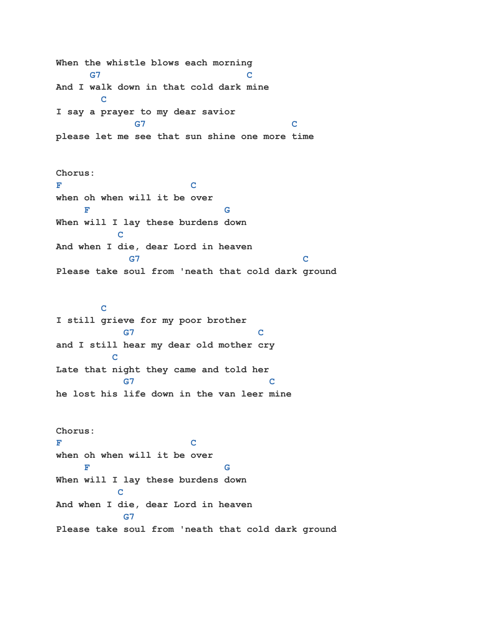**When the whistle blows each morning G7 C And I walk down in that cold dark mine C I say a prayer to my dear savior G7 C please let me see that sun shine one more time**

**Chorus: F C when oh when will it be over F** G G G G  $\overline{F}$ **When will I lay these burdens down C C And when I die, dear Lord in heaven G7 C Please take soul from 'neath that cold dark ground**

## **C**

**I still grieve for my poor brother G7 C and I still hear my dear old mother cry C C Late that night they came and told her G7 C he lost his life down in the van leer mine**

**Chorus: F C when oh when will it be over F** G G G G  $\overline{F}$ **When will I lay these burdens down C C And when I die, dear Lord in heaven G7 Please take soul from 'neath that cold dark ground**